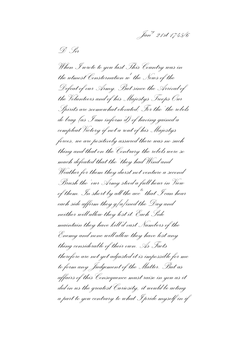*Janry 21st 1745/6*

*D <sup>r</sup> Sir*

*When I wrote to you last This Country was in the utmost Consternation w<sup>t</sup> the News of the Defeat of our Army. But since the Arrival of the Volunteers and of his Majestys Troops Our Spirits are soomewhat elevated; For tho' the rebels do brag (as I am inform'd) of having gained a compleat Victory if not a rout of his Majestys forces, we are positively assured there was no such thing and that on the Contrary the rebels were so much defeated that tho' they had Wind and Weather for them they durst not venture a second Brush tho' our Army stood a full hour in View of them. In short by all the accts that I can hear each side affirm they g[a]ined the Day and neither will allow they lost it. Each Side maintain they have kill'd vast Numbers of the Enemy and none will allow they have lost any thing considerable of their own. As Facts therefore are not yet adjusted it is impossible for me to form any Judgement of the Matter. But as affairs of this Consequence must raise in you as it did in us the greatest Curiosity, it would be acting a part to you contrary to what I pride myself in if*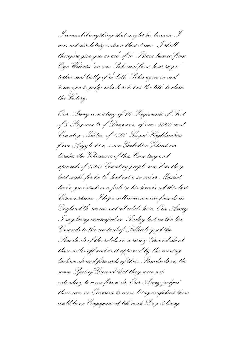*I conceal'd anything that might be, because I was not absolutely certain that it was. I shall therefore give you as acc of wt I have heared from t Eye Witness' on one Side and from hear say o' tother and lastly of w<sup>t</sup> both Sides agree in and leave you to judge which side has the title to clain the Victory.*

*Our Army consisting of 14 Regiments of Foot, of 3 Regiments of Dragoons, of near 1000 west Country Militia, of 1500 Loyal Highlanders from Argyleshire, some Yorkshire Volunteers besides the Volunteers of this Countrey and upwards of 1000 Countrey people arm'd as they best could, for he th<sup>t</sup> had not a sword or Musket had a good stick or a fork in his hand and this last Circumstance I hope will convince our freinds in England th<sup>t</sup> we are not all rebels here. Our Army I say being encamped on Friday last in the low Grounds to the westard of Falkirk spyd the Standards of the rebels on a rising Ground about three miles off and as it appeared by the moving backwards and forwards of their Standards on the same Spot of Ground that they were not intending to come forwards. Our Army judged there was no Occasion to move being confident there could be no Engagement till next Day it being*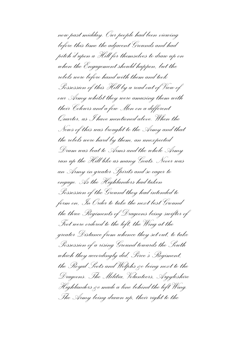*now past midday. Our people had been viewing before this time the adjacent Grounds and had pitch'd upon a Hill for themselves to draw up on when the Engagement should happen, but the rebels were before hand with them and took Possession of this Hill by a road out of View of our Army whilst they were amusing them with their Colours and a few Men on a different Quarter, as I have mentioned above. When the News of this was brought to the Army and that the rebels were hard by them, an unexpected Drum was beat to Arms and the whole Army run up the Hill like as many Goats. Never was an Army in greater Spirits and so eager to engage. As the Highlanders had taken Possession of the Ground they had intended to form on, In Order to take the next best Ground the three Regiments of Dragoons being swifter of Foot were ordered to the left, the Wing at the greater Distance from whence they set out, to take Possession of a rising Ground towards the South which they accordingly did, Pirce's Regiment, the Royal Scots and Wolphs &c being next to the Dragoons. The Militia, Volunteers, Argyleshire Highlanders &c made a line behind the left Wing. The Army being drawn up, their right to the*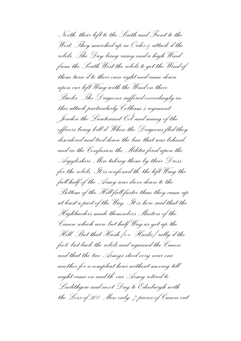*North, their left to the South and Front to the West, They marched up in Order & attack'd the rebels. The Day being rainy and a high Wind from the South West the rebels to get the Wind of them turn'd to their own right and came down upon our left Wing with the Wind on their Backs. The Dragoons suffered exceedingly in this attack particularly Cobham's regiment Jondon the Lieutenant Col<sup>l</sup> and many of the officers being kill'd. When the Dragoons fled they disordered and trod down the line that was behind, and in the Confusion the Militia fired upon the Argyleshire Men taking them by their Dress for the rebels. It is confessed th<sup>t</sup> the left Wing the full half of the Army was drove down to the Bottom of the Hill full faster than they came up at least a part of the Way. It is here said that the Highlanders made themselves Masters of the Canon which were but half Way as yet up the Hill. But that Hush [i.e. Huske] rally'd the foot, but back the rebels and regained the Canon and that the two Armys stood very near one another for a compleat hour without moving till night came on and th<sup>t</sup> our Army retired to Linlithgow and next Day to Edinburgh with the Loss of 300 Men only, 7 pieces of Canon out*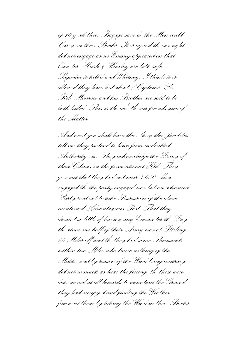*of 10 & all their Bagage save w<sup>t</sup> the Men could Carry on their Backs. It is agreed th<sup>t</sup> our right did not engage as no Enemy appeared on that Quarter. Hush & Hawley are both safe, Ligonier is kill'd and Whitney. I think it is allowed they have lost about 8 Captains. Sir Rob<sup>t</sup> Monrow and his Brother are said to be*  both killed. This is the acc<sup>t</sup> th<sup>o</sup> our freinds give of *the Matter.*

*And next you shall have the Story the Jacobites tell me they pretend to have from undoubted Authority viz. They acknowledge the Decay of their Colours on the formentioned Hill. They give out that they had not near 3,000 Men engaged th<sup>t</sup> the party engaged was but an advanced Party sent out to take Possession of the above mentioned Advantageous Post. That they dreamt so little of having any Encounter th<sup>t</sup>Day tht above one half of their Army was at Stirling 60 Miles off and th<sup>t</sup> they had some Thousands within two Miles who knew nothing of the Matter and by reason of the Wind being contrary did not so much as hear the fireing, th<sup>t</sup> they were determined at all hazards to maintain the Ground they had occupy'd and finding the Weather favoured them by taking the Wind in their Backs*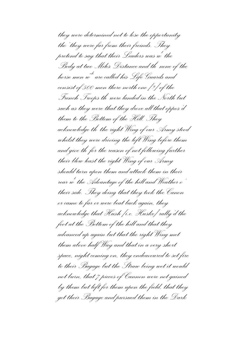*they were determined not to lose the opportunity tho' they were far from their freinds. They pretend to say that their Leaders was w<sup>t</sup> the Body at two Miles Distance and th<sup>t</sup> none of the horse men w ch are called his Life Guards and consist of 500 men there north one [?] of the French Troops th<sup>t</sup> were landed in the North but such as they were that they drove all that oppos'd them to the Bottom of the Hill. They acknowledge th<sup>t</sup> the right Wing of our Army stood whilst they were driving the left Wing before them and give th<sup>t</sup> for the reason of not following further their blow least the right Wing of our Army should turn upon them and attack them in their rear w the Advantage of the hill and Weather o' t their side. They doing that they took the Canon or came to far or were beat back again, they acknowledge that Hush [i.e. Huske] rally'd the foot at the Bottom of the hill and that they advanced up again but that the right Wing met them above half Way and that in a very short space, night coming on, they endeavoured to set fire to their Bagage but the Straw being wet it would not burn, that 7 pieces of Cannon were not gained by them but left for them upon the field, that they got their Bagage and pursued them in the Dark*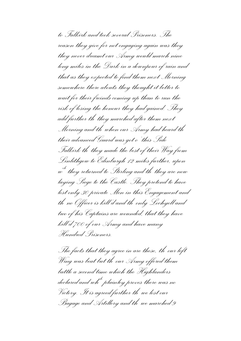*to Falkirk and took several Prisoners. The reason they give for not engaging again was they they never dreamt our Army would march nine long miles in the Dark in a downpour of rain and that as they expected to find them next Morning somewhere there abouts they thought it better to wait for their freinds coming up than to run the risk of losing the honour they had gained. They add further th<sup>t</sup> they marched after them next Morning and th<sup>t</sup> when our Army had heard th<sup>t</sup> their advanced Guard was got o' this Side Falkirk th<sup>t</sup> they made the best of their Way from Linlithgow to Edinburgh 12 miles further, upon w ch they returned to Stirling and th<sup>t</sup> they are now laying Siege to the Castle. They pretend to have lost only 30 private Men in this Engagement and tht no Officer is kill'd and th<sup>t</sup> only Lochyell and two of his Captains are wounded, that they have kill'd 700 of our Army and have many Hundred Prisoners.*

*The facts that they agree in are these, th<sup>t</sup> our left Wing was beat but th<sup>t</sup> our Army offered them battle a second time which the Highlanders declared and whch plainley proves there was no Victory. It is agreed further th<sup>t</sup> we lost our Bagage and Artillery and th<sup>t</sup> we marched 9*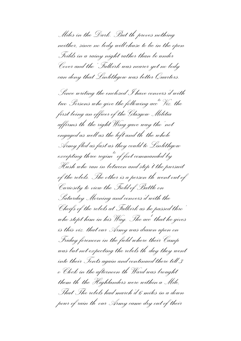*Miles in the Dark. But th<sup>t</sup> proves nothing neither, since no body will chuse to lie in the open Feilds in a rainy night rather than be under Cover and tho' Falkirk was nearer yet no body can deny that Linlithgow was better Quarters.*

*Since writing the enclosed I have convers'd with two Persons who give the following accts Viz. the first being an officer of the Glasgow Militia affirms th<sup>t</sup> the right Wing gave way tho'not engaged as well as the left and th<sup>t</sup> the whole Army fled as fast as they could to Linlithgow excepting three regimts of foot commanded by Hush who run in between and stop't the pursuit of the rebels. The other is a person th<sup>t</sup> went out of Curiosity to view the Field of Battle on Saturday Morning and convers'd with the Cheifs of the rebels at Falkirk as he passed thro' who stopt him in his Way. The acc<sup>t</sup> that he gives is this viz. that our Army was drawn upon on Friday forenoon in the field where their Camp was but not expecting the rebels th<sup>t</sup> day they went into their Tents again and continued there till 3 o'Clock in the afternoon th<sup>t</sup> Ward was brought them th<sup>t</sup> the Highlanders were within a Mile, That The rebels had march'd 6 miles in a down pour of rain th<sup>t</sup> our Army came dry out of their*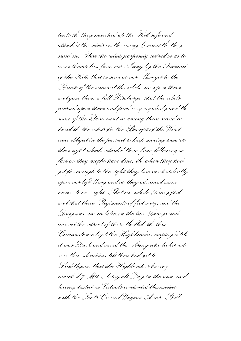*tents th<sup>t</sup> they marched up the Hill safe and attack'd the rebels on the rising Ground th<sup>t</sup> they stood on. That the rebels purposely retired so as to cover themselves from ourArmy by the Summit of the Hill, that so soon as our Men got to the Brink of the summit the rebels run upon them and gave them a full Discharge, that the rebels pressed upon them and fired very regularly and th<sup>t</sup> some of the Clans went in among them sword in hand th<sup>t</sup> the rebels for the Benefit of the Wind were obliged in the pursuit to keep moving towards their right which retarded them from following so fast as they might have done, th<sup>t</sup> when they had got far enough to the right they bore most violently upon our left Wing and as they advanced came nearer to our right. That our whole Army fled and that three Regiments of foot only, and the Dragoons run in between the two Armys and covered the retreat of those th<sup>t</sup> fled, th<sup>t</sup> this Circumstance kept the Highlanders employ'd till it was Dark and saved the Army who lookd not over their shoulders till they had got to Linlithgow, that the Highlanders having march'd 7 Miles, being all Day in the rain, and having tasted no Victuals contented themselves with the Tents Covered Wagons Arms, Ball,*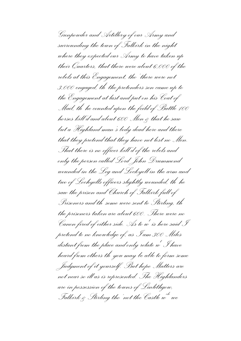*Gunpowder and Artillery of our Army and surrounding the town of Falkirk in the night where they expected our Army to have taken up their Quarters, that there were about 6,000 of the rebels at this Engagement, tho' there were not 3,000 engaged, th<sup>t</sup> the pretenders son came up to the Engagement at last and put on his Coat of Mail, th<sup>t</sup> he counted upon the feild of Battle 100 horses kill'd and about 600 Men & that he saw but a Highland man's body dead here and there that they pretend that they have not lost no Men. That there is no officer kill'd of the rebels and only the person called Lord John Drummond wounded in the Leg and Lockyell in the arm and two of Lochyells officers slightly wounded, th<sup>t</sup> he saw the prison and Church of Falkirk full of Prisoners and th<sup>t</sup> some were sent to Stirling, th<sup>t</sup> the prisoners taken are about 600. There were no Canon fired of either side. As to w<sup>t</sup> is here said I pretend to no knowledge of, as I am 300 Miles distant from the place and only relate w<sup>t</sup> I have heard from others th<sup>t</sup> you may be able to form some Judgment of it yourself. But hope Matters are not near so ill as is represented. The Highlanders are in possession of the towns of Linlithgow, Falkirk & Stirling tho'not the Castle wch we*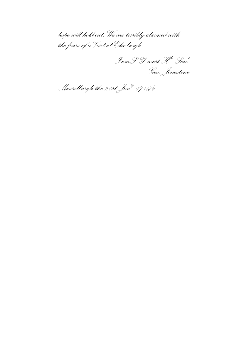*hope will hold out. We are terribly alarmed with the fears of a Visit at Edinburgh.*

*I amS Y most Hble Serv<sup>t</sup> r r Geo. Jonestone*

*Musselburgh the 21st Janry 1745/6*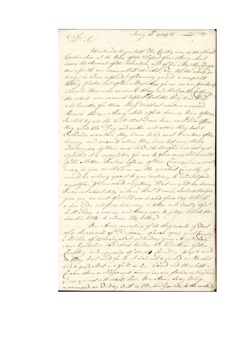Jani, 21 1915/6  $(MEC17201)$ Sr. P. When I and a Yo you lost This Country was in the utmost Constantion w! the liver of the Defeat of our Amy, But smee the Amond of the Polunters, and of his Majosty Steeges Our Spirits are come what elevated, So, the the whole do brag far Jam informed of howing gamed a compleat Where of not a road of his Majestys forces, we are positively afsured there was no such thing and that on the forthan the rebols were somuch defeat that the they had And and locather for them, they durit not venture a second Bunch the our Amey Nobd a full hour in View of them In short by all the and that I can hear each Side offerm they gived the Day and neither will allow they lost it. Cach Side mamtain they have killed vast humbers of the One my and nomeall allow they have last any thing considerable of their own les Vaits therefore are not yet adjusted it is imposible for me to form only wild generit of the Matter But as affairs of this Consequence laise in you as it did in us the greatest fariosity, would be acting apart to you contrary to what I pride myselfin, filcon cearled any thing that might be, because Juan not absolutely artom that I week, Ishall therefore que you an act. of which are heard from Eye Hithich o one Tide and from hear say a lother and lastly ofer! both Sides a gree in and because you to judge which had has the title to claim the titlory? Our Army consulting of 14 Chog iments of Foot of a Segments of Diagoons, of neak 1000 west Canter some Gotteshire tolentary barder the tolundary of this Confiding and upwards of 10,000 Counting proper and as they bart could for he it had not a swood on the sheet had a good Mick or a forth in his hand and this last ficulon stance hope will convenices our from as in England we are not all rebol here, Our Amy dray being currenged on Diday last in the low Grounds to the water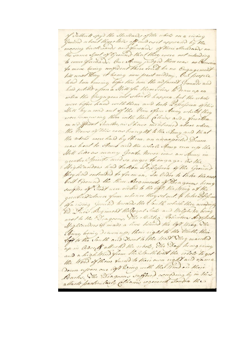of Jathuit spyd the Standards of the whole on a vising Geound a bout three chiles of our out appeared by the moving backwards and forwards of their Starbords on the same Spot of Ground that they were not intending to come forwards. Our Army judged there was no becasion fo move being confident there could be no Engagement lill need Day it being now part middow. Our people had been binoing before this time the adfacent Grounds and had jutilid upon a Mill for them school to draw up on when the Engergement should happen , but the wobels were before hand with them and look Lofsefsion ofthis Will by a road out of the View ofour Anny while they were lemew ing them with their follows and a few other the Hours of this was brought to the Anny and that the rebels were had by them, an unexpected Drum were beat to And and the whole Amy non up the Will like on many Goods, hever was on Anny in greater prints and so sager to engage, to the Mighlanders had duken Dopofsion of the Ground they had entended to form on, In Order to take the may best Ground the three Beginnents of Dragoons being swifter of theot were orected to the light the string at the greater Distance from whenee they set out. to lahe Defini of a vising Geound towolds the Couth which they according Be Fread Beginner the Cogal Soots and Halph Ve borng next to the Diagoons, The Militia, Colinteen Argelished Mightonders of made a line bithind the left Wing. Whe Anny being decurry their right to the Storth, their Toft to the South and Front to the Wed Whey marched up in Good of allected the robots, The Doug being rainy and a high third from the South local the rebels to get the White of them fund to their own right and clame Down upon our left loving with the Wind on their Backs, The Diagrous suffered accepting by in this attack particularly change regiment sonton the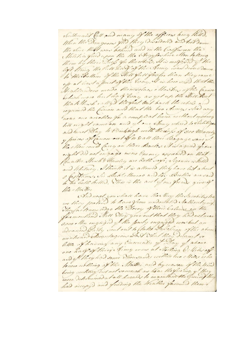Secretarant Cell and many of the officers ling hill), When the Diagrom fled they Disordered and hod down the shire that was behind and in the Confermenthe Militia find upon the the Argyleshire Men lating them by their Diefs for the wood, It is confered of the left thing the fill had of the Anny was Drow Down To the Pottom of the Hill full foster than they came up at bout a port of the long, I is here said that the Highlandors made themselacy Marten of the fanin which were but half long as yet up the Will But that Mark called the good tout back the rebols and regained the fouron and that the two Army stood way nous one another for a compleat hour without moong lill night came on and you are Anny which to which you and heart Day to Dinkingh with the de for of 300 Menonly y pieces of fanon out of to & all their Bagage save w! the Men could fany on their Backs A is a greed your right did not engage we no Enemy appeared on that Ruados, Huch & Paroley are both says, Sigonier is hilled and Whitney, I think it is allowed they have last a bout I fastame, Sir Boble Houroe and the Brother are said to teo both hilled, This is the acet of our fremds give of the Malter And need you shall have the Hong the Incobiles tele we they pretend to have from undocelleted Aathority mig They art now lidge the Decay of their Colours on the foremontion . Hell They give out that they had not mean 3,000 . Hen engaged y the party engaged was but an Doanced Latty Jent out to flated Andeling of the above mentioned Advantageous Lad That they Dicam I vo little of howing any Incounter of Doug of above one half of their Aimy was at Northing Colliter of and of they had some Thousands within los Miles who lanew nothing of the Master and by reason of the time being contrary did not someoch as hear the firing, y! they were Determined at all harands to maintain the Ground they had occupyd and finding the Weather favoured them.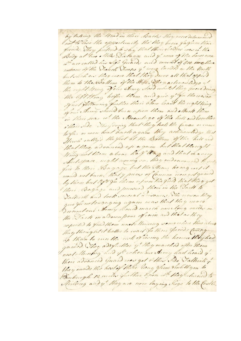by taking the Armo in their Backs they were determined Inot to loss the opportunity the they house for from their frends, They pretend to show that their shadow was is the Body at two . Hile Distance and y' none of the house mon whave called his alfe quand and conseit of 600 ming there nothone of the Viench Vrootes y' were landed in the North but such on they were that they drove all that opport them to the Boottom of the Stiffe. They actinow ledge at the ught ting your Army slood whilet they found during the lift thing boyer them and quice y' for the reason Anot yollowing further their blow load the right thing Jour Army should furn upon them and attack them in their hear whithe Novembage of the hill and locather o'their side . They doing that they halt the fanon or came to far or were boat back again they acknowledge that Heart radly's the foot of the Bottom of the hill and that there advanced up a goin but that theright Wing not them above hay Way and that the wery sheet space, night coming on, they endeavoured to set fire to their Bogage but the Show being well would not burn, that y preces of fannon were not gamed Their Bogage and foursued them in the Dorth to Solliet and took several Disoners, The recessor they que for notongorging again was that they never Decount our Army would march muchang miles in the Dark in addown pour of coin and that as they aspected to find them need Mouning some where those about they thought it botter to wait father fre most faming. of their to wenthe with of learning the honour thinghed gained, They adofulter y! they marched after them next Monthey and ye when our Army had heard y. their advanced Guard was got other tide Valheile . they made the best of their long from Inlith gon to Binburgh 12 miles further typon wh they chanced to Milling and y they are now laying Jege to the faith.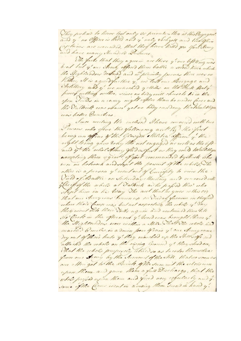They protend to have lost only so private. Hen is this Engagent. and y' no Office is hilld all y' only bock yell and level office Coplains are wounded, that they have killed you Sout String and have many Hundred Dishons ,

The facts that they a green are these y' our left ting was boat but g'our Army offered them battle a second time which the Highlander Dedand and we plainteg proves there was no Vidon, It is a greed further y we lost our Borgage and Artillary and of we marched gettiles in the Shike Buty. provel us thing wither, since no body will chuse to his in the open Fords in a rainy night after than be under force and the Valleik isas shared yet no body condery thatsmallign was bellor Cuartors.

Ince writing the enclosed Shave converid with two being on officer of the Georgen ellilities affirms y' the right ting gove lody the not engaged as well as the left and y the whole Almy fled awfurt as they could tolulitiga excepting three agents of foot commonded by Haste who un in botween and stop t the persuit of the rebols. The other is a person y' went out of burisfity to view the Vield of Bolle on Saturday Morning and converse with gleifoof the whole at Valkick as he paper this who Nop't him in his long The acel that he gives whis city that our Anny was becoming on Enday formon in thestich where their Compary but not expecting the robots of Your Wo Cook in the afternoon y' loord was brought them y' the Mighternow were within a Mile That The whole has marche 6 miles in a down pour ofrain y' our Anny come Dry out of thoir lands y' they morehed up the childrenge and allached the robols on the riving Ground of they shood on, That the whole purposely which so as to coder themselvas from our strong by the Summit of the while, that so soon as our ellen got to the Brink of the summit the releasure upon Hem and gave them a full Discharge, that the whole profits upon thom and fined very requestly and if. some of the Come went in acmoing them Jesond in hand y'.